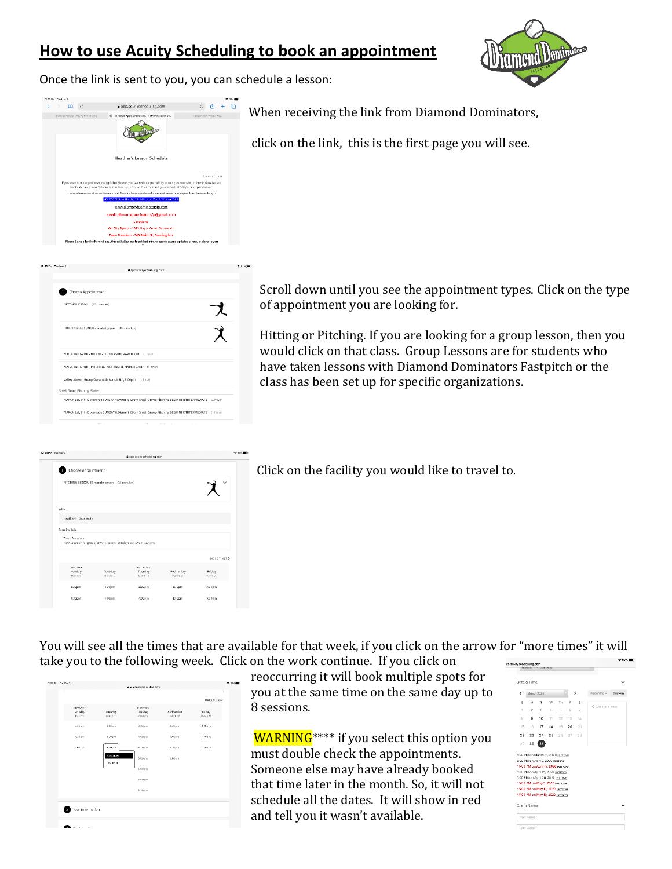## **How to use Acuity Scheduling to book an appointment**



Once the link is sent to you, you can schedule a lesson:



When receiving the link from Diamond Dominators,

click on the link, this is the first page you will see.

| 2 53 PM Tue Mar 3                                        | il sociecultyscheduling.com                                                                          |                           |
|----------------------------------------------------------|------------------------------------------------------------------------------------------------------|---------------------------|
| Choose Appointment                                       |                                                                                                      |                           |
| HITTING LESSON (30 minutes)                              |                                                                                                      | $\frac{\lambda}{\lambda}$ |
| PITCHING LESSON 30 minute lesson (30 minutes)            |                                                                                                      |                           |
|                                                          | MALVERNE GROUP HITTING - OCEANSIDE MARCH STH (Lihour)                                                |                           |
|                                                          | MALVERNE GROUP PITCHING - OCEANSIDE MARCH 22ND (1 hour)                                              |                           |
| Valley Stream Group Oceanside March 8th, 3:00pm (1 hour) |                                                                                                      |                           |
| Small Group Pitching Winter                              |                                                                                                      |                           |
|                                                          | MARCH 1st, 8th -Oceanside SUNDAY 4:00pm- 5:00pm Small Group Pitching BEGINNER/INTERMEDIATE   1 hour) |                           |
|                                                          | MARCH 1st, 8th -Oceanside SUNDAY 6:00pm - 7:00pm Small Group Pitching BEGINNER/INTERMEDIATE [1 hour) |                           |

Scroll down until you see the appointment types. Click on the type of appointment you are looking for.

Hitting or Pitching. If you are looking for a group lesson, then you would click on that class. Group Lessons are for students who have taken lessons with Diamond Dominators Fastpitch or the class has been set up for specific organizations.

| 12:54 PM Tue Mar 3 |                                        |                                                                 | # epo.ecutyscheduling.com         |                       |                    | $\nabla$ 81% (a) |
|--------------------|----------------------------------------|-----------------------------------------------------------------|-----------------------------------|-----------------------|--------------------|------------------|
|                    | Choose Appointment                     |                                                                 |                                   |                       |                    |                  |
|                    |                                        | PITCHING LESSON 30 minute lesson (30 minutes)                   |                                   |                       |                    |                  |
|                    | With                                   |                                                                 |                                   |                       |                    |                  |
|                    | Heather P -Oceanside                   |                                                                 |                                   |                       |                    |                  |
|                    | Farmingdale                            |                                                                 |                                   |                       |                    |                  |
|                    | Team Fransisco                         | New Location for group/private lessons Sundays at 8:00am-1:00pm |                                   |                       |                    |                  |
|                    |                                        |                                                                 |                                   |                       | MORE TIMES.>       |                  |
|                    | <b>NEXT VIETS</b><br>Monday<br>March 9 | Tuesday<br>March 10                                             | IN 2 WEEKS<br>Tuesday<br>March 17 | Wednesday<br>March 18 | Friday<br>March 20 |                  |
|                    | 3:30pm                                 | 3:30pm                                                          | 3:30pm                            | 3:30pm                | 3:30pm             |                  |
|                    | 4:30pm                                 | 4:00pm                                                          | 4:00pm                            | 4:00pm                | 5:30pm             |                  |

Click on the facility you would like to travel to.

You will see all the times that are available for that week, if you click on the arrow for "more times" it will take you to the following week. Click on the work continue. If you click on



reoccurring it will book multiple spots for you at the same time on the same day up to 8 sessions.

WARNING<sup>\*\*\*\*</sup> if you select this option you must double check the appointments. Someone else may have already booked that time later in the month. So, it will not schedule all the dates. It will show in red and tell you it wasn't available.